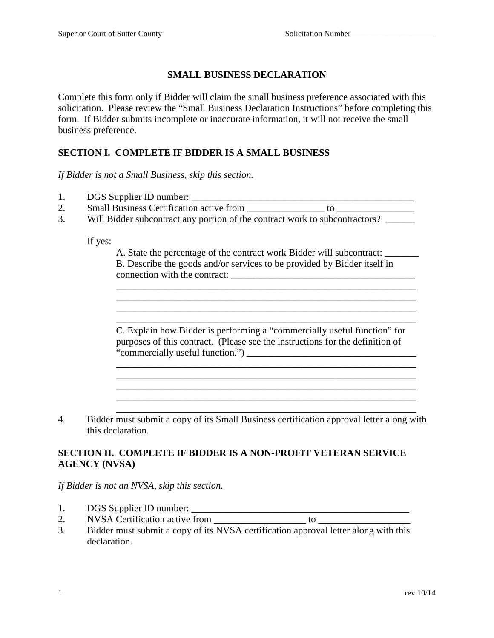## **SMALL BUSINESS DECLARATION**

Complete this form only if Bidder will claim the small business preference associated with this solicitation. Please review the "Small Business Declaration Instructions" before completing this form. If Bidder submits incomplete or inaccurate information, it will not receive the small business preference.

### **SECTION I. COMPLETE IF BIDDER IS A SMALL BUSINESS**

*If Bidder is not a Small Business, skip this section.*

- 1. DGS Supplier ID number: \_\_\_\_\_\_\_\_\_\_\_\_\_\_\_\_\_\_\_\_\_\_\_\_\_\_\_\_\_\_\_\_\_\_\_\_\_\_\_\_\_\_\_\_\_\_
- 2. Small Business Certification active from \_\_\_\_\_\_\_\_\_\_\_\_\_\_\_\_ to \_\_\_\_\_\_\_\_\_\_\_\_\_\_\_\_
- 3. Will Bidder subcontract any portion of the contract work to subcontractors?

If yes:

A. State the percentage of the contract work Bidder will subcontract: \_\_\_\_\_\_\_ B. Describe the goods and/or services to be provided by Bidder itself in connection with the contract: \_\_\_\_\_\_\_\_\_\_\_\_\_\_\_\_\_\_\_\_\_\_\_\_\_\_\_\_\_\_\_\_\_\_\_\_\_\_

\_\_\_\_\_\_\_\_\_\_\_\_\_\_\_\_\_\_\_\_\_\_\_\_\_\_\_\_\_\_\_\_\_\_\_\_\_\_\_\_\_\_\_\_\_\_\_\_\_\_\_\_\_\_\_\_\_\_\_\_\_\_

\_\_\_\_\_\_\_\_\_\_\_\_\_\_\_\_\_\_\_\_\_\_\_\_\_\_\_\_\_\_\_\_\_\_\_\_\_\_\_\_\_\_\_\_\_\_\_\_\_\_\_\_\_\_\_\_\_\_\_\_\_\_

\_\_\_\_\_\_\_\_\_\_\_\_\_\_\_\_\_\_\_\_\_\_\_\_\_\_\_\_\_\_\_\_\_\_\_\_\_\_\_\_\_\_\_\_\_\_\_\_\_\_\_\_\_\_\_\_\_\_\_\_\_\_ C. Explain how Bidder is performing a "commercially useful function" for purposes of this contract. (Please see the instructions for the definition of "commercially useful function.") \_\_\_\_\_\_\_\_\_\_\_\_\_\_\_\_\_\_\_\_\_\_\_\_\_\_\_\_\_\_\_\_\_\_\_

\_\_\_\_\_\_\_\_\_\_\_\_\_\_\_\_\_\_\_\_\_\_\_\_\_\_\_\_\_\_\_\_\_\_\_\_\_\_\_\_\_\_\_\_\_\_\_\_\_\_\_\_\_\_\_\_\_\_\_\_\_\_

4. Bidder must submit a copy of its Small Business certification approval letter along with this declaration.

\_\_\_\_\_\_\_\_\_\_\_\_\_\_\_\_\_\_\_\_\_\_\_\_\_\_\_\_\_\_\_\_\_\_\_\_\_\_\_\_\_\_\_\_\_\_\_\_\_\_\_\_\_\_\_\_\_\_\_\_\_\_

#### **SECTION II. COMPLETE IF BIDDER IS A NON-PROFIT VETERAN SERVICE AGENCY (NVSA)**

*If Bidder is not an NVSA, skip this section.*

- 1. DGS Supplier ID number:
- 2. NVSA Certification active from \_\_\_\_\_\_\_\_\_\_\_\_\_\_\_\_\_\_\_ to \_\_\_\_\_\_\_\_\_\_\_\_\_\_\_\_\_\_\_
- 3. Bidder must submit a copy of its NVSA certification approval letter along with this declaration.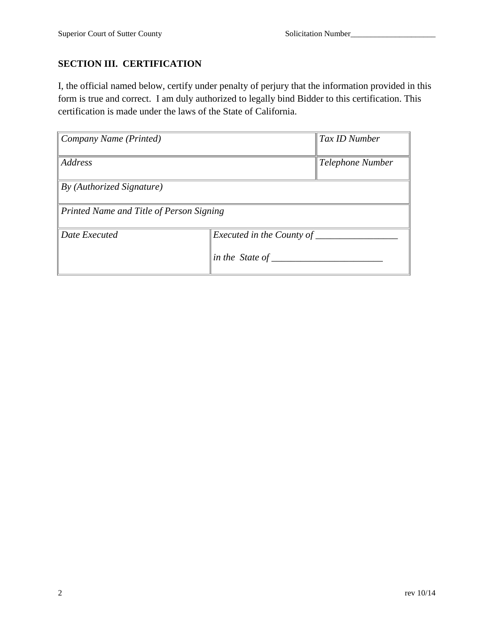# **SECTION III. CERTIFICATION**

I, the official named below, certify under penalty of perjury that the information provided in this form is true and correct. I am duly authorized to legally bind Bidder to this certification. This certification is made under the laws of the State of California.

| Company Name (Printed)                   |                                              | Tax ID Number    |
|------------------------------------------|----------------------------------------------|------------------|
| Address                                  |                                              | Telephone Number |
| $\vert$ By (Authorized Signature)        |                                              |                  |
| Printed Name and Title of Person Signing |                                              |                  |
| Date Executed                            | Executed in the County of<br>in the State of |                  |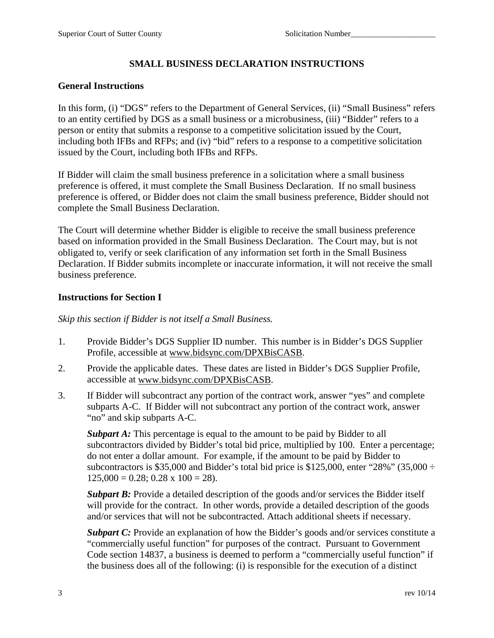# **SMALL BUSINESS DECLARATION INSTRUCTIONS**

#### **General Instructions**

In this form, (i) "DGS" refers to the Department of General Services, (ii) "Small Business" refers to an entity certified by DGS as a small business or a microbusiness, (iii) "Bidder" refers to a person or entity that submits a response to a competitive solicitation issued by the Court, including both IFBs and RFPs; and (iv) "bid" refers to a response to a competitive solicitation issued by the Court, including both IFBs and RFPs.

If Bidder will claim the small business preference in a solicitation where a small business preference is offered, it must complete the Small Business Declaration. If no small business preference is offered, or Bidder does not claim the small business preference, Bidder should not complete the Small Business Declaration.

The Court will determine whether Bidder is eligible to receive the small business preference based on information provided in the Small Business Declaration. The Court may, but is not obligated to, verify or seek clarification of any information set forth in the Small Business Declaration. If Bidder submits incomplete or inaccurate information, it will not receive the small business preference.

#### **Instructions for Section I**

*Skip this section if Bidder is not itself a Small Business.* 

- 1. Provide Bidder's DGS Supplier ID number. This number is in Bidder's DGS Supplier Profile, accessible at www.bidsync.com/DPXBisCASB.
- 2. Provide the applicable dates. These dates are listed in Bidder's DGS Supplier Profile, accessible at www.bidsync.com/DPXBisCASB.
- 3. If Bidder will subcontract any portion of the contract work, answer "yes" and complete subparts A-C. If Bidder will not subcontract any portion of the contract work, answer "no" and skip subparts A-C.

*Subpart A:* This percentage is equal to the amount to be paid by Bidder to all subcontractors divided by Bidder's total bid price, multiplied by 100. Enter a percentage; do not enter a dollar amount. For example, if the amount to be paid by Bidder to subcontractors is \$35,000 and Bidder's total bid price is \$125,000, enter "28%" (35,000  $\div$  $125,000 = 0.28$ ; 0.28 x  $100 = 28$ ).

*Subpart B:* Provide a detailed description of the goods and/or services the Bidder itself will provide for the contract. In other words, provide a detailed description of the goods and/or services that will not be subcontracted. Attach additional sheets if necessary.

*Subpart C:* Provide an explanation of how the Bidder's goods and/or services constitute a "commercially useful function" for purposes of the contract. Pursuant to Government Code section 14837, a business is deemed to perform a "commercially useful function" if the business does all of the following: (i) is responsible for the execution of a distinct